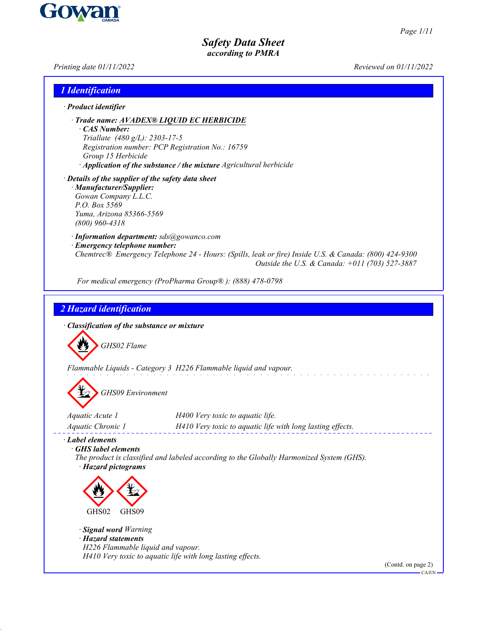

*Page 1/11*

*Safety Data Sheet according to PMRA*

*Printing date 01/11/2022 Reviewed on 01/11/2022*

| 1 Identification                                                                                                                                                             |                                                                                                                                                                      |
|------------------------------------------------------------------------------------------------------------------------------------------------------------------------------|----------------------------------------------------------------------------------------------------------------------------------------------------------------------|
| $\cdot$ Product identifier                                                                                                                                                   |                                                                                                                                                                      |
| $\cdot$ CAS Number:<br>Triallate (480 g/L): 2303-17-5<br>Group 15 Herbicide                                                                                                  | · Trade name: AVADEX® LIQUID EC HERBICIDE<br>Registration number: PCP Registration No.: 16759<br>· Application of the substance / the mixture Agricultural herbicide |
| · Details of the supplier of the safety data sheet<br>· Manufacturer/Supplier:<br>Gowan Company L.L.C.<br>P.O. Box 5569<br>Yuma, Arizona 85366-5569<br>$(800)$ 960-4318      |                                                                                                                                                                      |
| · Information department: sds@gowanco.com<br>· Emergency telephone number:                                                                                                   | Chemtrec® Emergency Telephone 24 - Hours: (Spills, leak or fire) Inside U.S. & Canada: (800) 424-9300<br>Outside the U.S. & Canada: +011 (703) 527-3887              |
|                                                                                                                                                                              | For medical emergency (ProPharma Group®): (888) 478-0798                                                                                                             |
| · Classification of the substance or mixture<br>GHS02 Flame                                                                                                                  | Flammable Liquids - Category 3 H226 Flammable liquid and vapour.                                                                                                     |
| <b>GHS09</b> Environment                                                                                                                                                     |                                                                                                                                                                      |
| Aquatic Acute 1<br>Aquatic Chronic 1                                                                                                                                         | H400 Very toxic to aquatic life.<br>H410 Very toxic to aquatic life with long lasting effects.                                                                       |
| $\cdot$ Label elements<br>· GHS label elements<br>· Hazard pictograms<br>GHS02<br>GHS09<br>· Signal word Warning<br>· Hazard statements<br>H226 Flammable liquid and vapour. | The product is classified and labeled according to the Globally Harmonized System (GHS).<br>H410 Very toxic to aquatic life with long lasting effects.               |

(Contd. on page 2) CA/EN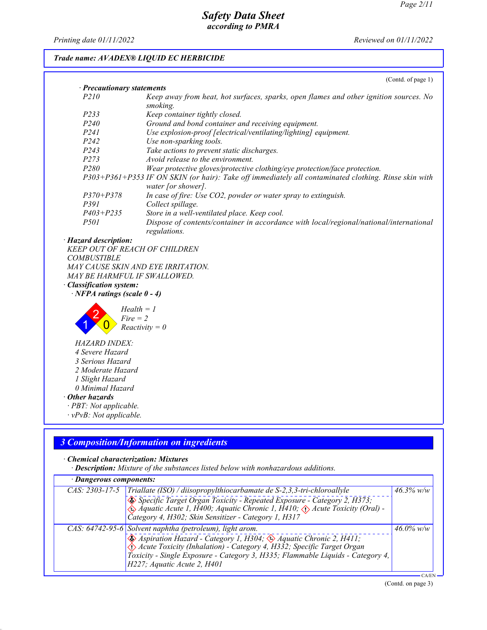*Printing date 01/11/2022 Reviewed on 01/11/2022*

## *Trade name: AVADEX® LIQUID EC HERBICIDE*

|                                                                                                                         | (Contd. of page 1)                                                                                                         |
|-------------------------------------------------------------------------------------------------------------------------|----------------------------------------------------------------------------------------------------------------------------|
| · Precautionary statements                                                                                              |                                                                                                                            |
| P210                                                                                                                    | Keep away from heat, hot surfaces, sparks, open flames and other ignition sources. No<br>smoking.                          |
| P233                                                                                                                    | Keep container tightly closed.                                                                                             |
| P <sub>240</sub>                                                                                                        | Ground and bond container and receiving equipment.                                                                         |
| P <sub>241</sub>                                                                                                        | Use explosion-proof [electrical/ventilating/lighting] equipment.                                                           |
| P <sub>242</sub>                                                                                                        | Use non-sparking tools.                                                                                                    |
| P243                                                                                                                    | Take actions to prevent static discharges.                                                                                 |
| P273                                                                                                                    | Avoid release to the environment.                                                                                          |
| P <sub>280</sub>                                                                                                        | Wear protective gloves/protective clothing/eye protection/face protection.                                                 |
|                                                                                                                         | P303+P361+P353 IF ON SKIN (or hair): Take off immediately all contaminated clothing. Rinse skin with<br>water [or shower]. |
| $P370 + P378$                                                                                                           | In case of fire: Use CO2, powder or water spray to extinguish.                                                             |
| P391                                                                                                                    | Collect spillage.                                                                                                          |
| $P403 + P235$                                                                                                           | Store in a well-ventilated place. Keep cool.                                                                               |
| <i>P501</i>                                                                                                             | Dispose of contents/container in accordance with local/regional/national/international<br>regulations.                     |
| <b>Hazard description:</b>                                                                                              |                                                                                                                            |
| <b>KEEP OUT OF REACH OF CHILDREN</b>                                                                                    |                                                                                                                            |
| <b>COMBUSTIBLE</b>                                                                                                      |                                                                                                                            |
| MAY CAUSE SKIN AND EYE IRRITATION.                                                                                      |                                                                                                                            |
| MAY BE HARMFUL IF SWALLOWED.                                                                                            |                                                                                                                            |
| <b>Classification system:</b>                                                                                           |                                                                                                                            |
| $\cdot$ NFPA ratings (scale 0 - 4)                                                                                      |                                                                                                                            |
| $Health = 1$<br>$Fire = 2$                                                                                              | $Reactivity = 0$                                                                                                           |
| <b>HAZARD INDEX:</b><br>4 Severe Hazard<br>3 Serious Hazard<br>2 Moderate Hazard<br>1 Slight Hazard<br>0 Minimal Hazard |                                                                                                                            |
| <b>Other hazards</b>                                                                                                    |                                                                                                                            |
| · PBT: Not applicable.<br>$\cdot vPvB$ : Not applicable.                                                                |                                                                                                                            |
|                                                                                                                         |                                                                                                                            |

# *3 Composition/Information on ingredients*

## *· Chemical characterization: Mixtures*

*· Description: Mixture of the substances listed below with nonhazardous additions.*

| · Dangerous components: |                                                                                                                                                                                                                                                                                                                        |                      |
|-------------------------|------------------------------------------------------------------------------------------------------------------------------------------------------------------------------------------------------------------------------------------------------------------------------------------------------------------------|----------------------|
| $CAS: 2303-17-5$        | $\boxed{\text{Triallate (ISO)}$ / diisopropylthiocarbamate de S-2,3,3-tri-chloroallyle                                                                                                                                                                                                                                 | $\frac{46.3\%}{w/w}$ |
|                         | Specific Target Organ Toxicity - Repeated Exposure - Category 2, H373;<br>Aquatic Acute 1, H400; Aquatic Chronic 1, H410; $\Diamond$ Acute Toxicity (Oral) -<br>Čategory 4, H302; Skin Sensitizer - Category 1, H317                                                                                                   |                      |
|                         | CAS: 64742-95-6 Solvent naphtha (petroleum), light arom.<br>Aspiration Hazard - Category 1, H304; 4 Aquatic Chronic 2, H411;<br>Acute Toxicity (Inhalation) - Category 4, H332; Specific Target Organ<br>Toxicity - Single Exposure - Category 3, H335; Flammable Liquids - Category 4,<br>H227; Aquatic Acute 2, H401 | $46.0\%$ w/w         |
|                         |                                                                                                                                                                                                                                                                                                                        |                      |

(Contd. on page 3)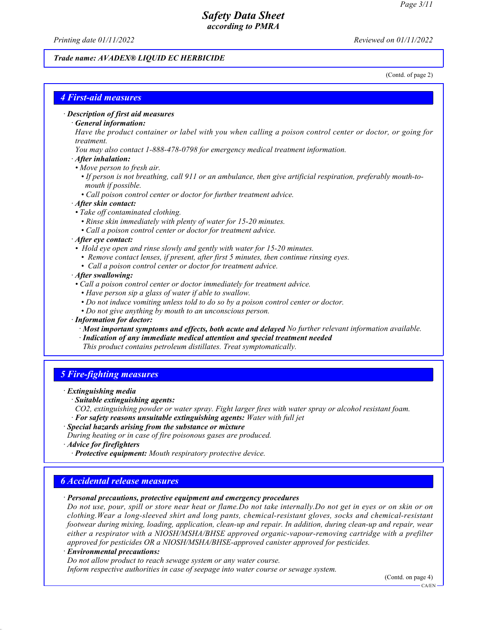*Printing date 01/11/2022 Reviewed on 01/11/2022*

## *Trade name: AVADEX® LIQUID EC HERBICIDE*

(Contd. of page 2)

## *4 First-aid measures*

#### *· Description of first aid measures*

#### *· General information:*

*Have the product container or label with you when calling a poison control center or doctor, or going for treatment.*

- *You may also contact 1-888-478-0798 for emergency medical treatment information.*
- *· After inhalation:*
- *Move person to fresh air.*
- *If person is not breathing, call 911 or an ambulance, then give artificial respiration, preferably mouth-to mouth if possible.*
- *Call poison control center or doctor for further treatment advice.*

#### *· After skin contact:*

- *Take off contaminated clothing.*
	- *Rinse skin immediately with plenty of water for 15-20 minutes.*
	- *Call a poison control center or doctor for treatment advice.*

#### *· After eye contact:*

- *Hold eye open and rinse slowly and gently with water for 15-20 minutes.*
	- *Remove contact lenses, if present, after first 5 minutes, then continue rinsing eyes.*
	- *Call a poison control center or doctor for treatment advice.*

#### *· After swallowing:*

- *Call a poison control center or doctor immediately for treatment advice.*
	- *Have person sip a glass of water if able to swallow.*
	- *Do not induce vomiting unless told to do so by a poison control center or doctor.*
	- *Do not give anything by mouth to an unconscious person.*

### *· Information for doctor:*

- *· Most important symptoms and effects, both acute and delayed No further relevant information available.*
- *· Indication of any immediate medical attention and special treatment needed*
- *This product contains petroleum distillates. Treat symptomatically.*

## *5 Fire-fighting measures*

#### *· Extinguishing media*

*· Suitable extinguishing agents:*

- *CO2, extinguishing powder or water spray. Fight larger fires with water spray or alcohol resistant foam. · For safety reasons unsuitable extinguishing agents: Water with full jet*
- *· Special hazards arising from the substance or mixture*

*During heating or in case of fire poisonous gases are produced.*

*· Advice for firefighters*

*· Protective equipment: Mouth respiratory protective device.*

## *6 Accidental release measures*

*· Personal precautions, protective equipment and emergency procedures*

*Do not use, pour, spill or store near heat or flame.Do not take internally.Do not get in eyes or on skin or on clothing.Wear a long-sleeved shirt and long pants, chemical-resistant gloves, socks and chemical-resistant footwear during mixing, loading, application, clean-up and repair. In addition, during clean-up and repair, wear either a respirator with a NIOSH/MSHA/BHSE approved organic-vapour-removing cartridge with a prefilter approved for pesticides OR a NIOSH/MSHA/BHSE-approved canister approved for pesticides.*

### *· Environmental precautions:*

*Do not allow product to reach sewage system or any water course.*

*Inform respective authorities in case of seepage into water course or sewage system.*

(Contd. on page 4)

 $CA/FN$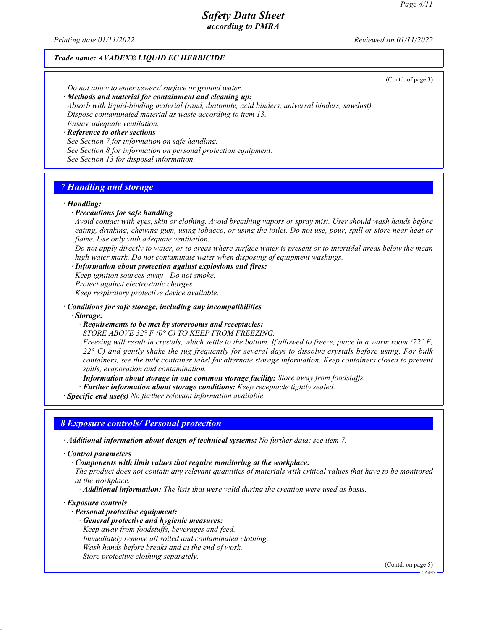*Printing date 01/11/2022 Reviewed on 01/11/2022*

## *Trade name: AVADEX® LIQUID EC HERBICIDE*

(Contd. of page 3)

*Do not allow to enter sewers/ surface or ground water.*

*· Methods and material for containment and cleaning up:*

*Absorb with liquid-binding material (sand, diatomite, acid binders, universal binders, sawdust). Dispose contaminated material as waste according to item 13. Ensure adequate ventilation.*

*· Reference to other sections*

*See Section 7 for information on safe handling.*

*See Section 8 for information on personal protection equipment.*

*See Section 13 for disposal information.*

# *7 Handling and storage*

#### *· Handling:*

#### *· Precautions for safe handling*

*Avoid contact with eyes, skin or clothing. Avoid breathing vapors or spray mist. User should wash hands before eating, drinking, chewing gum, using tobacco, or using the toilet. Do not use, pour, spill or store near heat or flame. Use only with adequate ventilation.*

*Do not apply directly to water, or to areas where surface water is present or to intertidal areas below the mean high water mark. Do not contaminate water when disposing of equipment washings.*

*· Information about protection against explosions and fires:*

*Keep ignition sources away - Do not smoke.*

*Protect against electrostatic charges.*

*Keep respiratory protective device available.*

#### *· Conditions for safe storage, including any incompatibilities*

*· Storage:*

*· Requirements to be met by storerooms and receptacles:*

*STORE ABOVE 32° F (0° C) TO KEEP FROM FREEZING.*

*Freezing will result in crystals, which settle to the bottom. If allowed to freeze, place in a warm room (72° F, 22° C) and gently shake the jug frequently for several days to dissolve crystals before using. For bulk containers, see the bulk container label for alternate storage information. Keep containers closed to prevent spills, evaporation and contamination.*

*· Information about storage in one common storage facility: Store away from foodstuffs.*

*· Further information about storage conditions: Keep receptacle tightly sealed.*

*· Specific end use(s) No further relevant information available.*

### *8 Exposure controls/ Personal protection*

*· Additional information about design of technical systems: No further data; see item 7.*

*· Control parameters*

*· Components with limit values that require monitoring at the workplace:*

*The product does not contain any relevant quantities of materials with critical values that have to be monitored at the workplace.*

*· Additional information: The lists that were valid during the creation were used as basis.*

### *· Exposure controls*

- *· Personal protective equipment:*
	- *· General protective and hygienic measures:*

*Keep away from foodstuffs, beverages and feed.*

*Immediately remove all soiled and contaminated clothing. Wash hands before breaks and at the end of work.*

*Store protective clothing separately.*

(Contd. on page 5)  $-CA/EN$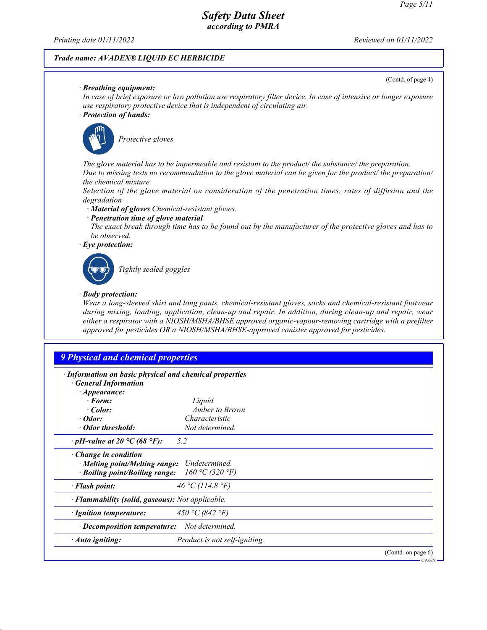(Contd. of page 4)

# *Safety Data Sheet according to PMRA*

*Printing date 01/11/2022 Reviewed on 01/11/2022*

## *Trade name: AVADEX® LIQUID EC HERBICIDE*

*· Breathing equipment:*

*In case of brief exposure or low pollution use respiratory filter device. In case of intensive or longer exposure use respiratory protective device that is independent of circulating air.*

*· Protection of hands:*



\_S*Protective gloves*

*The glove material has to be impermeable and resistant to the product/ the substance/ the preparation. Due to missing tests no recommendation to the glove material can be given for the product/ the preparation/ the chemical mixture.*

*Selection of the glove material on consideration of the penetration times, rates of diffusion and the degradation*

*· Material of gloves Chemical-resistant gloves.*

*· Penetration time of glove material*

*The exact break through time has to be found out by the manufacturer of the protective gloves and has to be observed.*

*· Eye protection:*



\_R*Tightly sealed goggles*

#### *· Body protection:*

*Wear a long-sleeved shirt and long pants, chemical-resistant gloves, socks and chemical-resistant footwear during mixing, loading, application, clean-up and repair. In addition, during clean-up and repair, wear either a respirator with a NIOSH/MSHA/BHSE approved organic-vapour-removing cartridge with a prefilter approved for pesticides OR a NIOSH/MSHA/BHSE-approved canister approved for pesticides.*

# *9 Physical and chemical properties*

| · Information on basic physical and chemical properties<br><b>General Information</b>   |                                  |                    |
|-----------------------------------------------------------------------------------------|----------------------------------|--------------------|
| $\cdot$ Appearance:                                                                     |                                  |                    |
| $\cdot$ Form:                                                                           | Liquid                           |                    |
| $\cdot$ Color:                                                                          | Amber to Brown                   |                    |
| $\cdot$ Odor:                                                                           | Characteristic                   |                    |
| · Odor threshold:                                                                       | Not determined.                  |                    |
| $\cdot$ pH-value at 20 °C (68 °F):                                                      | 5.2                              |                    |
| Change in condition<br>· Melting point/Melting range:<br>· Boiling point/Boiling range: | Undetermined.<br>160 °C (320 °F) |                    |
| · Flash point:                                                                          | 46 °C (114.8 °F)                 |                    |
| · <b>Flammability (solid, gaseous):</b> Not applicable.                                 |                                  |                    |
| · Ignition temperature:                                                                 | 450 °C (842 °F)                  |                    |
| $\cdot$ Decomposition temperature:                                                      | Not determined.                  |                    |
| Auto igniting:                                                                          | Product is not self-igniting.    |                    |
|                                                                                         |                                  | (Contd. on page 6) |
|                                                                                         |                                  | $CA/EN$ -          |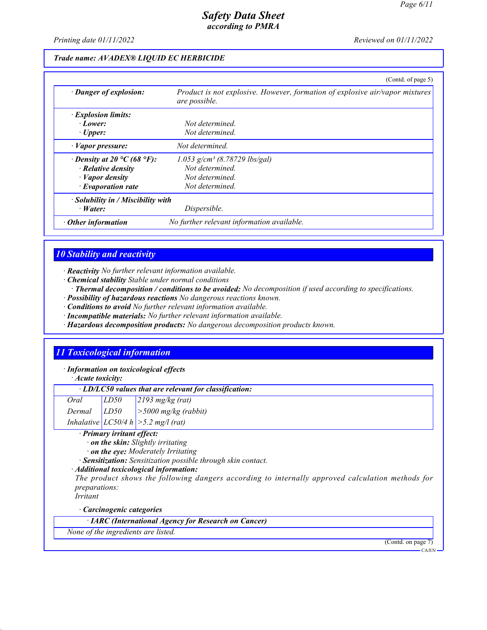*Printing date 01/11/2022 Reviewed on 01/11/2022*

## *Trade name: AVADEX® LIQUID EC HERBICIDE*

|                                          | (Contd. of page 5)                                                                            |
|------------------------------------------|-----------------------------------------------------------------------------------------------|
| · Danger of explosion:                   | Product is not explosive. However, formation of explosive air/vapor mixtures<br>are possible. |
| <i>Explosion limits:</i>                 |                                                                                               |
| $\cdot$ Lower:                           | Not determined                                                                                |
| $\cdot$ Upper:                           | Not determined.                                                                               |
| $\cdot$ <i>Vapor pressure:</i>           | Not determined.                                                                               |
| $\cdot$ Density at 20 °C (68 °F):        | $1.053$ g/cm <sup>3</sup> (8.78729 lbs/gal)                                                   |
| $\cdot$ Relative density                 | Not determined.                                                                               |
| $\cdot$ <i>Vapor density</i>             | Not determined.                                                                               |
| $\cdot$ Evaporation rate                 | Not determined.                                                                               |
| $\cdot$ Solubility in / Miscibility with |                                                                                               |
| $\cdot$ <i>Water:</i>                    | Dispersible.                                                                                  |
| $\cdot$ Other information                | No further relevant information available.                                                    |

## *10 Stability and reactivity*

*· Reactivity No further relevant information available.*

*· Chemical stability Stable under normal conditions*

*· Thermal decomposition / conditions to be avoided: No decomposition if used according to specifications.*

- *· Possibility of hazardous reactions No dangerous reactions known.*
- *· Conditions to avoid No further relevant information available.*
- *· Incompatible materials: No further relevant information available.*
- *· Hazardous decomposition products: No dangerous decomposition products known.*

# *11 Toxicological information*

*· Information on toxicological effects*

*· Acute toxicity:*

| $\cdot$ LD/LC50 values that are relevant for classification: |  |  |
|--------------------------------------------------------------|--|--|
|--------------------------------------------------------------|--|--|

| Oral   | LD50 | $2193$ mg/kg (rat)                       |
|--------|------|------------------------------------------|
| Dermal | LD50 | $\vert$ > 5000 mg/kg (rabbit)            |
|        |      | Inhalative $ LCS0/4 h  > 5.2 mg/l$ (rat) |

#### *· Primary irritant effect:*

*· on the skin: Slightly irritating*

*· on the eye: Moderately Irritating*

*· Sensitization: Sensitization possible through skin contact.*

*· Additional toxicological information:*

*The product shows the following dangers according to internally approved calculation methods for preparations:*

*Irritant*

*· Carcinogenic categories*

*· IARC (International Agency for Research on Cancer)*

*None of the ingredients are listed.*

(Contd. on page 7)

CA/EN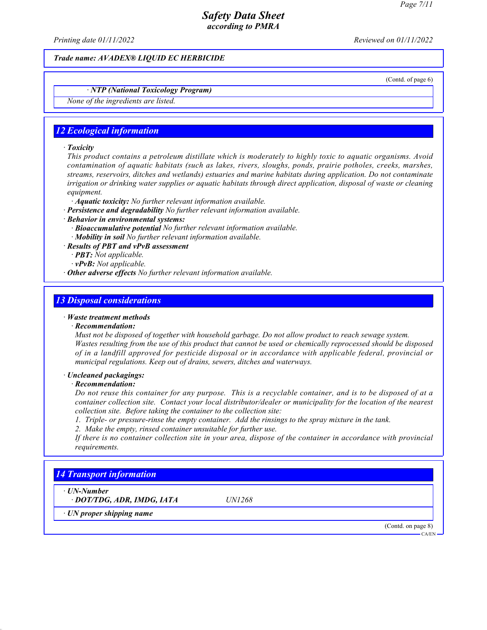*Printing date 01/11/2022 Reviewed on 01/11/2022*

*Trade name: AVADEX® LIQUID EC HERBICIDE*

(Contd. of page 6)

## *· NTP (National Toxicology Program)*

*None of the ingredients are listed.*

## *12 Ecological information*

#### *· Toxicity*

*This product contains a petroleum distillate which is moderately to highly toxic to aquatic organisms. Avoid contamination of aquatic habitats (such as lakes, rivers, sloughs, ponds, prairie potholes, creeks, marshes, streams, reservoirs, ditches and wetlands) estuaries and marine habitats during application. Do not contaminate irrigation or drinking water supplies or aquatic habitats through direct application, disposal of waste or cleaning equipment.*

- *· Aquatic toxicity: No further relevant information available.*
- *· Persistence and degradability No further relevant information available.*
- *· Behavior in environmental systems:*
	- *· Bioaccumulative potential No further relevant information available. · Mobility in soil No further relevant information available.*
- *· Results of PBT and vPvB assessment*
	- *· PBT: Not applicable.*
	- *· vPvB: Not applicable.*
- *· Other adverse effects No further relevant information available.*

### *13 Disposal considerations*

#### *· Waste treatment methods*

#### *· Recommendation:*

*Must not be disposed of together with household garbage. Do not allow product to reach sewage system. Wastes resulting from the use of this product that cannot be used or chemically reprocessed should be disposed of in a landfill approved for pesticide disposal or in accordance with applicable federal, provincial or municipal regulations. Keep out of drains, sewers, ditches and waterways.*

#### *· Uncleaned packagings:*

#### *· Recommendation:*

*Do not reuse this container for any purpose. This is a recyclable container, and is to be disposed of at a container collection site. Contact your local distributor/dealer or municipality for the location of the nearest collection site. Before taking the container to the collection site:*

*1. Triple- or pressure-rinse the empty container. Add the rinsings to the spray mixture in the tank.*

*2. Make the empty, rinsed container unsuitable for further use.*

*If there is no container collection site in your area, dispose of the container in accordance with provincial requirements.*

# *14 Transport information*

*· UN-Number*

*· DOT/TDG, ADR, IMDG, IATA UN1268*

*· UN proper shipping name*

(Contd. on page 8) CA/EN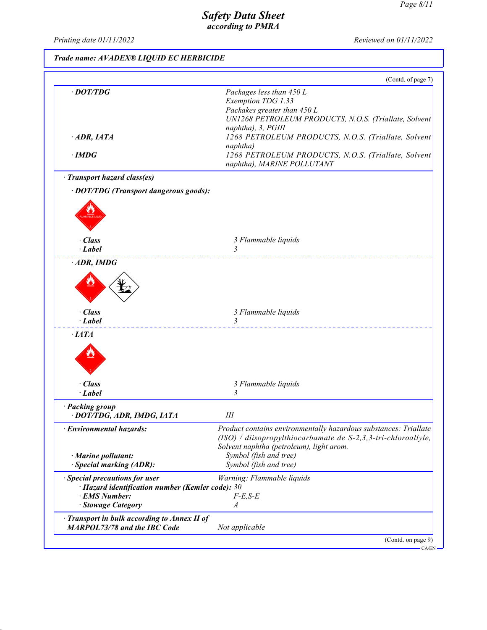*Printing date 01/11/2022 Reviewed on 01/11/2022*

# *Trade name: AVADEX® LIQUID EC HERBICIDE*

|                                                                                    | (Contd. of page 7)                                                                                                                                    |
|------------------------------------------------------------------------------------|-------------------------------------------------------------------------------------------------------------------------------------------------------|
| $\cdot$ DOT/TDG                                                                    | Packages less than 450 L                                                                                                                              |
|                                                                                    | Exemption TDG 1.33                                                                                                                                    |
|                                                                                    | Packakes greater than 450 L                                                                                                                           |
|                                                                                    | UN1268 PETROLEUM PRODUCTS, N.O.S. (Triallate, Solvent<br>naphtha), 3, PGIII                                                                           |
| $\cdot$ ADR, IATA                                                                  | 1268 PETROLEUM PRODUCTS, N.O.S. (Triallate, Solvent                                                                                                   |
|                                                                                    | naphtha)                                                                                                                                              |
| $\cdot$ IMDG                                                                       | 1268 PETROLEUM PRODUCTS, N.O.S. (Triallate, Solvent                                                                                                   |
|                                                                                    | naphtha), MARINE POLLUTANT                                                                                                                            |
| · Transport hazard class(es)                                                       |                                                                                                                                                       |
| · DOT/TDG (Transport dangerous goods):                                             |                                                                                                                                                       |
|                                                                                    |                                                                                                                                                       |
|                                                                                    |                                                                                                                                                       |
|                                                                                    |                                                                                                                                                       |
| · Class                                                                            | 3 Flammable liquids                                                                                                                                   |
| $\cdot$ Label                                                                      | $\overline{\mathbf{3}}$                                                                                                                               |
| $\cdot$ ADR, IMDG                                                                  |                                                                                                                                                       |
|                                                                                    |                                                                                                                                                       |
|                                                                                    |                                                                                                                                                       |
|                                                                                    |                                                                                                                                                       |
|                                                                                    |                                                                                                                                                       |
| · Class                                                                            | 3 Flammable liquids                                                                                                                                   |
| $\cdot$ Label                                                                      | 3                                                                                                                                                     |
| $\cdot$ <i>LATA</i>                                                                |                                                                                                                                                       |
|                                                                                    |                                                                                                                                                       |
|                                                                                    |                                                                                                                                                       |
|                                                                                    |                                                                                                                                                       |
|                                                                                    |                                                                                                                                                       |
|                                                                                    |                                                                                                                                                       |
| · Class<br>· Label                                                                 | 3 Flammable liquids<br>3                                                                                                                              |
|                                                                                    |                                                                                                                                                       |
| · DOT/TDG, ADR, IMDG, IATA                                                         | Ш                                                                                                                                                     |
|                                                                                    |                                                                                                                                                       |
|                                                                                    |                                                                                                                                                       |
|                                                                                    | Solvent naphtha (petroleum), light arom.                                                                                                              |
| · Marine pollutant:                                                                | Symbol (fish and tree)                                                                                                                                |
| <b>Special marking (ADR):</b>                                                      | Symbol (fish and tree)                                                                                                                                |
| · Packing group<br>· Environmental hazards:<br><b>Special precautions for user</b> | Warning: Flammable liquids                                                                                                                            |
| $\cdot$ Hazard identification number (Kemler code): 30                             |                                                                                                                                                       |
| · EMS Number:                                                                      | $F-E, S-E$                                                                                                                                            |
| · Stowage Category                                                                 | A                                                                                                                                                     |
| Transport in bulk according to Annex II of<br><b>MARPOL73/78 and the IBC Code</b>  | Product contains environmentally hazardous substances: Triallate<br>$(ISO)$ / diisopropylthiocarbamate de S-2,3,3-tri-chloroallyle,<br>Not applicable |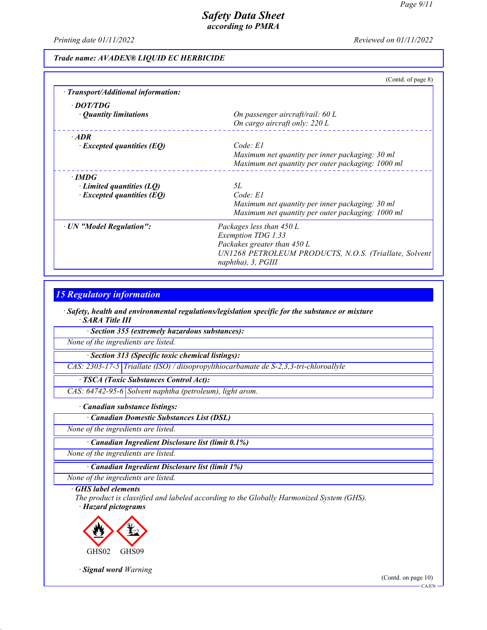*Printing date 01/11/2022 Reviewed on 01/11/2022*

## *Trade name: AVADEX® LIQUID EC HERBICIDE*

|                                                                             | (Contd. of page 8)                                                                                                                                           |
|-----------------------------------------------------------------------------|--------------------------------------------------------------------------------------------------------------------------------------------------------------|
| · Transport/Additional information:                                         |                                                                                                                                                              |
| · DOT/TDG<br>• Quantity limitations                                         | On passenger aircraft/rail: $60 L$<br>On cargo aircraft only: 220 L                                                                                          |
| $·$ <i>ADR</i><br>$\cdot$ Excepted quantities (EQ)                          | Code: El<br>Maximum net quantity per inner packaging: 30 ml<br>Maximum net quantity per outer packaging: 1000 ml                                             |
| $\cdot$ IMDG<br>Limited quantities (LQ)<br>$\cdot$ Excepted quantities (EQ) | 5L<br>Code: El<br>Maximum net quantity per inner packaging: 30 ml<br>Maximum net quantity per outer packaging: 1000 ml                                       |
| · UN "Model Regulation":                                                    | Packages less than 450 L<br>Exemption TDG 1.33<br>Packakes greater than 450 L<br>UN1268 PETROLEUM PRODUCTS, N.O.S. (Triallate, Solvent<br>naphtha), 3, PGIII |

## *15 Regulatory information*

*· Safety, health and environmental regulations/legislation specific for the substance or mixture · SARA Title III*

*· Section 355 (extremely hazardous substances):*

*None of the ingredients are listed.*

*· Section 313 (Specific toxic chemical listings):*

*CAS: 2303-17-5 Triallate (ISO) / diisopropylthiocarbamate de S-2,3,3-tri-chloroallyle*

*· TSCA (Toxic Substances Control Act):*

*CAS: 64742-95-6 Solvent naphtha (petroleum), light arom.*

*· Canadian substance listings:*

*· Canadian Domestic Substances List (DSL)*

*None of the ingredients are listed.*

*· Canadian Ingredient Disclosure list (limit 0.1%)*

*None of the ingredients are listed.*

*· Canadian Ingredient Disclosure list (limit 1%)*

*None of the ingredients are listed.*

*· GHS label elements*

*The product is classified and labeled according to the Globally Harmonized System (GHS). · Hazard pictograms*



*· Signal word Warning*

(Contd. on page 10)

CA/EN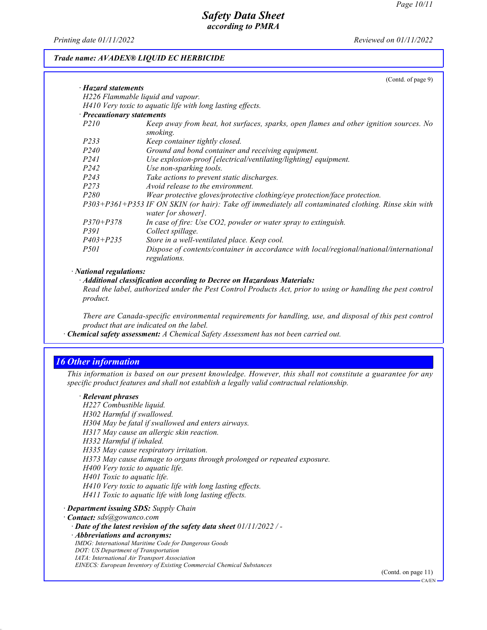*Printing date 01/11/2022 Reviewed on 01/11/2022*

#### *Trade name: AVADEX® LIQUID EC HERBICIDE*

|                                                                                                                                                                                                                                                                                                                                                                                                                        | (Contd. of page 9)                                                                                                         |
|------------------------------------------------------------------------------------------------------------------------------------------------------------------------------------------------------------------------------------------------------------------------------------------------------------------------------------------------------------------------------------------------------------------------|----------------------------------------------------------------------------------------------------------------------------|
| · Hazard statements                                                                                                                                                                                                                                                                                                                                                                                                    |                                                                                                                            |
|                                                                                                                                                                                                                                                                                                                                                                                                                        | H226 Flammable liquid and vapour.                                                                                          |
|                                                                                                                                                                                                                                                                                                                                                                                                                        | H410 Very toxic to aquatic life with long lasting effects.                                                                 |
| · Precautionary statements                                                                                                                                                                                                                                                                                                                                                                                             |                                                                                                                            |
| <i>P210</i>                                                                                                                                                                                                                                                                                                                                                                                                            | Keep away from heat, hot surfaces, sparks, open flames and other ignition sources. No<br>smoking.                          |
| P233                                                                                                                                                                                                                                                                                                                                                                                                                   | Keep container tightly closed.                                                                                             |
| <i>P240</i>                                                                                                                                                                                                                                                                                                                                                                                                            | Ground and bond container and receiving equipment.                                                                         |
| P <sub>24</sub> 1                                                                                                                                                                                                                                                                                                                                                                                                      | Use explosion-proof [electrical/ventilating/lighting] equipment.                                                           |
| P <sub>242</sub>                                                                                                                                                                                                                                                                                                                                                                                                       | Use non-sparking tools.                                                                                                    |
| P <sub>243</sub>                                                                                                                                                                                                                                                                                                                                                                                                       | Take actions to prevent static discharges.                                                                                 |
| P273                                                                                                                                                                                                                                                                                                                                                                                                                   | Avoid release to the environment.                                                                                          |
| P <sub>280</sub>                                                                                                                                                                                                                                                                                                                                                                                                       | Wear protective gloves/protective clothing/eye protection/face protection.                                                 |
|                                                                                                                                                                                                                                                                                                                                                                                                                        | P303+P361+P353 IF ON SKIN (or hair): Take off immediately all contaminated clothing. Rinse skin with<br>water [or shower]. |
| $P370 + P378$                                                                                                                                                                                                                                                                                                                                                                                                          | In case of fire: Use CO2, powder or water spray to extinguish.                                                             |
| P391                                                                                                                                                                                                                                                                                                                                                                                                                   | Collect spillage.                                                                                                          |
| $P403 + P235$                                                                                                                                                                                                                                                                                                                                                                                                          | Store in a well-ventilated place. Keep cool.                                                                               |
| <i>P501</i>                                                                                                                                                                                                                                                                                                                                                                                                            | Dispose of contents/container in accordance with local/regional/national/international<br>regulations.                     |
| $\mathbf{A} \mathbf{A} \mathbf{A} \mathbf{A} \mathbf{A} \mathbf{A} \mathbf{A} \mathbf{A} \mathbf{A} \mathbf{A} \mathbf{A} \mathbf{A} \mathbf{A} \mathbf{A} \mathbf{A} \mathbf{A} \mathbf{A} \mathbf{A} \mathbf{A} \mathbf{A} \mathbf{A} \mathbf{A} \mathbf{A} \mathbf{A} \mathbf{A} \mathbf{A} \mathbf{A} \mathbf{A} \mathbf{A} \mathbf{A} \mathbf{A} \mathbf{A} \mathbf{A} \mathbf{A} \mathbf{A} \mathbf{A} \mathbf{$ |                                                                                                                            |

#### *· National regulations:*

*· Additional classification according to Decree on Hazardous Materials:*

*Read the label, authorized under the Pest Control Products Act, prior to using or handling the pest control product.*

*There are Canada-specific environmental requirements for handling, use, and disposal of this pest control product that are indicated on the label.*

*· Chemical safety assessment: A Chemical Safety Assessment has not been carried out.*

## *16 Other information*

*This information is based on our present knowledge. However, this shall not constitute a guarantee for any specific product features and shall not establish a legally valid contractual relationship.*

#### *· Relevant phrases*

*H227 Combustible liquid. H302 Harmful if swallowed. H304 May be fatal if swallowed and enters airways. H317 May cause an allergic skin reaction. H332 Harmful if inhaled. H335 May cause respiratory irritation. H373 May cause damage to organs through prolonged or repeated exposure. H400 Very toxic to aquatic life. H401 Toxic to aquatic life. H410 Very toxic to aquatic life with long lasting effects. H411 Toxic to aquatic life with long lasting effects.*

*· Department issuing SDS: Supply Chain*

*· Contact: sds@gowanco.com*

*· Date of the latest revision of the safety data sheet 01/11/2022 / -*

*· Abbreviations and acronyms:*

*IMDG: International Maritime Code for Dangerous Goods*

*DOT: US Department of Transportation*

*IATA: International Air Transport Association*

*EINECS: European Inventory of Existing Commercial Chemical Substances*

(Contd. on page 11)

CA/EN